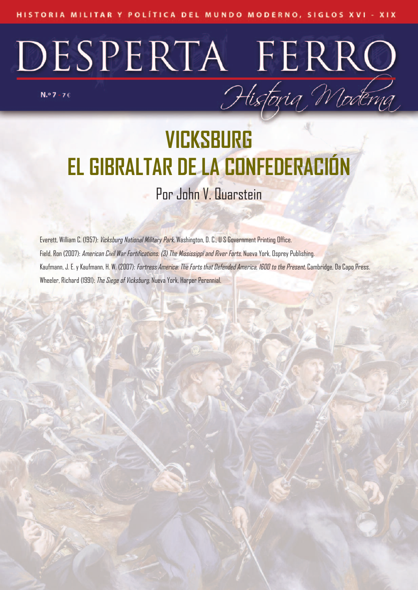# DESPERTA FERRO Historia Moderna

 $N.°7 - 76$ 

### **VICKSBURG EL GIBRALTAR DE LA CONFEDERACIÓN** Por John V. Quarstein

Everett, William C. (1957): *Vicksburg National Military Park*, Washington, D. C., U S Government Printing Office. Field, Ron (2007): American Civil War Fortifications. (3) The Mississippi and River Forts, Nueva York, Osprey Publishing. Kaufmann, J. E. y Kaufmann, H. W. (2007): *Fortress America: The Forts that Defended America, I600 to the Present*, Cambridge, Da Capo Press. Wheeler, Richard (1991): *The Siege of Vicksburg*, Nueva York, Harper Perennial.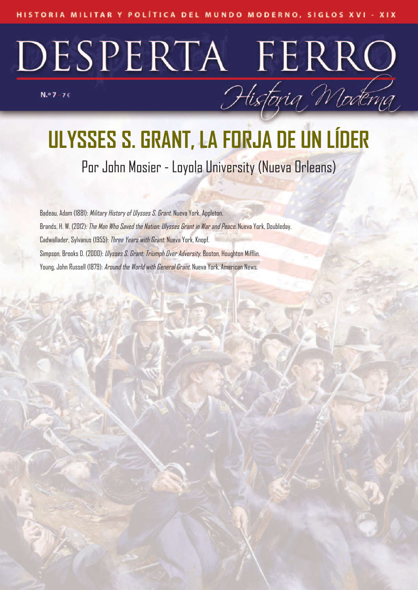## DESPERTA FERRO Historia Moderna

 $N.°7 - 76$ 

## **ULYSSES S. GRANT, LA FORJA DE UN LÍDER**

Por John Mosier - Loyola University (Nueva Orleans)

Badeau, Adam (1881): Military History of Ulysses S. Grant. Nueva York, Appleton. Brands, H. W. (2012): *The Man Who Saved the Nation: Ulysses Grant in War and Peace.* Nueva York, Doubleday. Cadwallader, Sylvanus (1955): Three Years with Grant. Nueva York, Knopf. Simpson, Brooks D. (2000): *Ulysses S. Grant: Triumph Over Adversity*. Boston, Houghton Mifflin. Young, John Russell (1879): Around the World with General Grant. Nueva York, American News.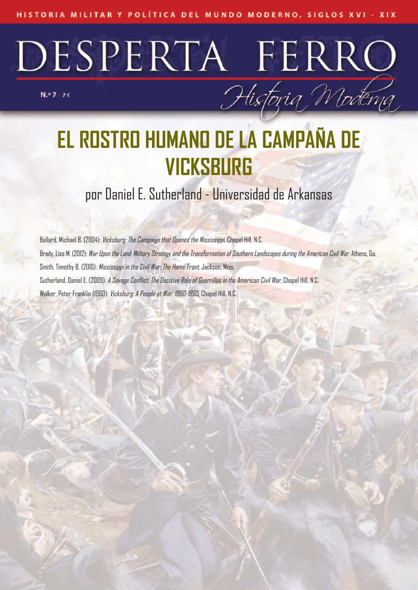## DESPERTA FERRO

 $N.°7 - 76$ 

## **EL ROSTRO HUMANO DE LA CAMPAÑA DE VICKSBURG**

Historia Moderna

### por Daniel E. Sutherland - Universidad de Arkansas

Ballard, Michael B. (2004): Vicksburg: The Campaign that Opened the Mississippi, Chapel Hill, N.C. Brady, Lisa M. (2012): War Upon the Land: Military Strategy and the Transformation of Southern Landscapes during the American Civil War, Athens, Ga. Smith, Timothy B. (2010): Mississippi in the Civil War: The Home Front, Jackson, Miss. Sutherland, Daniel E. (2009): *A Savage Conflict: The Decisive Role of Guerrillas in the American Civil War*, Chapel Hill, N.C. Walker, Peter Franklin (1960): Vicksburg: A People at War, 1860-1865, Chapel Hill, N.C.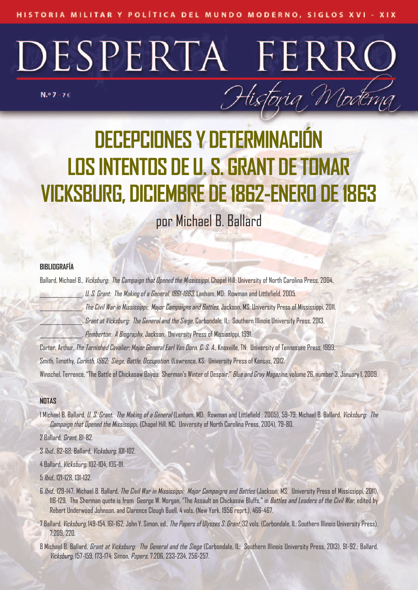# DESPERTA FERRC

 $N.°7 - 76$ 

## **DECEPCIONES Y DETERMINACI LOS INTENTOS DE U. S. GRANT DETOMAR VICKSBURG, DICIEMBRE DE1862-ENERO DE1863**

Historia Moderna

por Michael B. Ballard

#### **BIBLIOGRAFÍA**

Ballard, Michael B., *Vicksburg: The Campaign that Opened the Mississippi*, Chapel Hill: University of North Carolina Press, 2004.

., U. S. Grant: The Making of a General, 1861-1863, Lanham, MD: Rowman and Littlefield, 2005.

The Civil War in Mississippi: Major Campaigns and Battles, Jackson, MS: University Press of Mississippi, 2011.

\_\_\_\_\_\_\_\_\_\_\_\_\_\_\_\_, Grant atVicksburg: The General and the Siege, Carbondale, IL: Southern Illinois University Press, 2013.

Pemberton: A Biography, Jackson: University Press of Mississippi, 1991.

Carter, Arthur, The Tarnished Cavalier: Major General Earl Van Dorn, C. S. A., Knoxville, TN: University of Tennessee Press, 1999. Smith, Timothy, Carinth, 1862: Siege, Battle, Occupation, (Lawrence, KS: University Press of Kansas, 2012.

Winschel, Terrence, "The Battle of Chickasaw Bayou: Sherman's Winter of Despair," Blue and Gray Magazine, volume 26, number 3, January 1, 2009.

#### **NOTAS**

1 Michael B. Ballard, *U. S. Grant: The Making of a General* (Lanham, MD; Rowman and Littlefield , 2005), 59-79; Michael B. Ballard, *Vicksburg: The* Campaign that Opened the Mississippi, (Chapel Hill, NC: University of North Carolina Press, 2004), 79-80.

2 Ballard, Grant, 81-82.

3 Ibid., 82-88; Ballard, Vicksburg, 101-102.

4 Ballard, Vicksburg, 102-104, 106-111.

5 Ibid., 121-128, 131-132.

- 6 Ibid., 129-147; Michael B. Ballard, The Civil War in Mississippi: Major Campaigns and Battles (Jackson, MS: University Press of Mississippi, 2011), 118-129, The Sherman quote is from George W. Morgan, "The Assault on Chickasaw Bluffs," in Battles and Leaders of the Civil War, edited by Robert Underwood Johnson, and Clarence Clough Buell, 4 vols. (New York, 1956 reprt.), 466-467.
- 7 Ballard, *Vicksburg*, 149-154, 161-162; John Y. Simon, ed., *The Papers of Ulysses S. Grant*, 32 vols. (Carbondale, IL: Southern Illinois University Press), 7:209, 220.
- 8 Michael B. Ballard, *Grant at Vicksburg: The General and the Siege* (Carbondale, IL: Southern Illinois University Press, 2013), 91-92.; Ballard, Vicksburg, 157-159, 173-174; Simon, Papers, 7:206, 233-234, 256-257.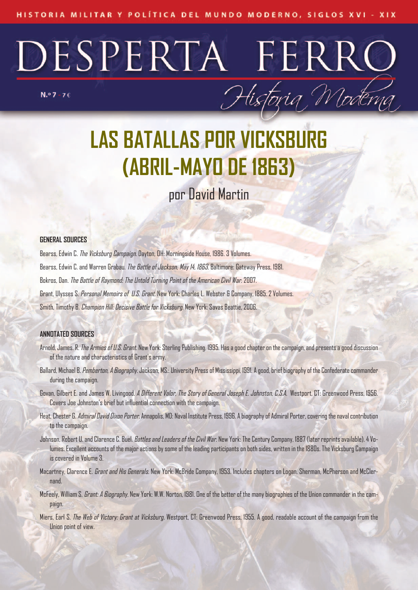$N.°7 - 76$ 



Historia Moderna

### por David Martin

#### **GENERAL SOURCES**

Bearss, Edwin C. The Vicksburg Campaign. Dayton, OH: Morningside House, 1986. 3 Volumes. Bearss, Edwin C. and Warren Grabau. The Battle of Jackson, May 14, 1863. Baltimore: Gateway Press, 1981. Bokros, Dan. The Battle of Raymond: The Untold Turning Point of the American Civil War.2007. Grant, Ulysses S. Personal Memoirs of U.S. Grant. New York: Charles L. Webster & Company, 1885. 2 Volumes. Smith, Timothy B. Champion Hill: Decisive Battle for Vicksburg. New York: Savas Beattie, 2006.

#### **ANNOTATED SOURCES**

- Arnold, James. R. The Armies of U.S. Grant. New York: Sterling Publishing, 1995. Has a good chapter on the campaign, and presents a good discussion of the nature and characteristics of Grant's army.
- Ballard, Michael B. Pemberton, A Biography. Jackson, MS.: University Press of Mississippi, 1991. A good, brief biography of the Confederate commander during the campaign.
- Govan, Gilbert E. and James W. Livingood. *A Different Valor, The Story of General Joseph E. Johnston, C.S.A.* Westport, CT: Greenwood Press, 1956. Covers Joe Johnston's brief but influential connection with the campaign.
- Heat, Chester G. Admiral David Dixon Porter. Annapolis, MD: Naval Institute Press, 1996. A biography of Admiral Porter, covering the naval contribution to the campaign.
- Johnson, Robert U. and Clarence C. Buel. Battles and Leaders of the Civil War. New York: The Century Company, 1887 (later reprints available). 4 Volumes. Excellent accounts of the major actions by some of the leading participants on both sides, written in the 1880s. The Vicksburg Campaign is covered in Volume 3.
- Macartney, Clarence E. Grant and His Generals. New York: McBride Company, 1953. Includes chapters on Logan, Sherman, McPherson and McClernand.
- McFeely, William S. Grant: A Biography. New York: W.W. Norton, 1981. One of the better of the many biographies of the Union commander in the campaign.
- Miers, Earl S. The Web of Victory: Grant at Vicksburg. Westport, CT: Greenwood Press, 1955. A good, readable account of the campaign from the Union point of view.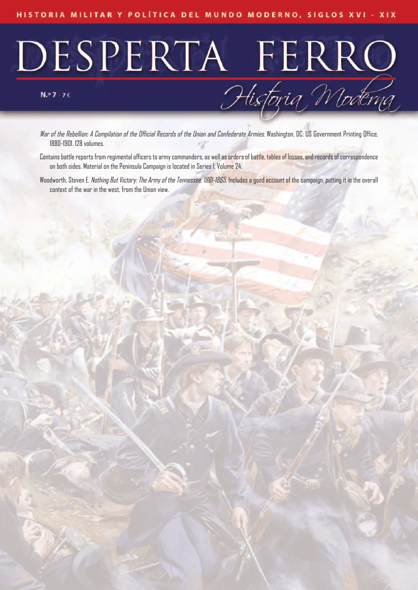# DESPERTA FERRO<br>Historia Moderna

War of the Rebellion: A Compilation of the Official Records of the Union and Confederate Armies. Washington, DC: US Government Printing Office, 1880-1901. 128 volumes.

- Contains battle reports from regimental officers to army commanders, as well as orders of battle, tables of losses, and records of correspondence on both sides. Material on the Peninsula Campaign is located in Series I, Volume 24.
- Woodworth, Steven E. Nathing But Victory: The Army of the Tennessee, 1861-1865. Includes a good account of the campaign, putting it in the overall context of the war in the west, from the Union view.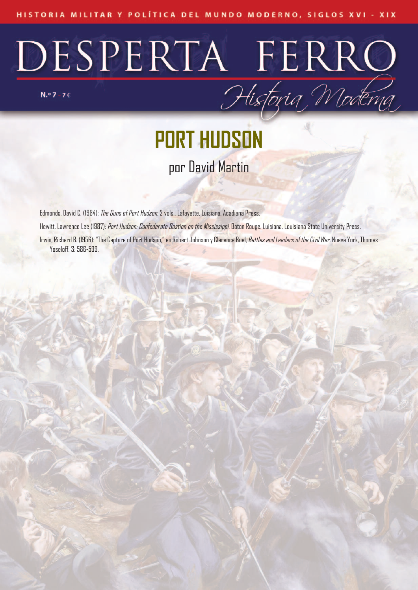# DESPERTA FERRO

**PORT HUDSON** por David Martin

Edmonds, David C. (1984): The Guns of Port Hudson. 2 vols., Lafayette, Luisiana, Acadiana Press. Hewitt, Lawrence Lee (1987): Port Hudson: Confederate Bastion on the Mississippi. Baton Rouge, Luisiana, Louisiana State University Press. Irwin, Richard B. (1956): "The Capture of Port Hudson," en Robert Johnson y Clarence Buel, Battles and Leaders of the Civil War. Nueva York, Thomas Yoseloff, 3: 586-599.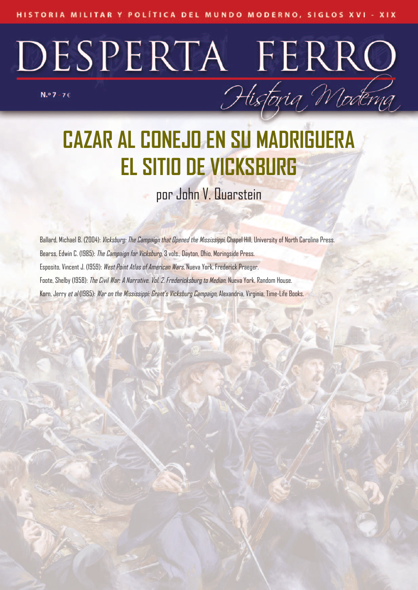DESPERTA FERRO

 $N.°7 - 76$ 

## **CAZAR AL CONEJO EN SU MADRIGUERA EL SITIO DE VICKSBURG**

Historia Moderna

por John V. Quarstein

Ballard, Michael B. (2004): *Vicksburg: The Campaign that Opened the Mississippi*, Chapel Hill, University of North Carolina Press. Bearss, Edwin C. (1985): The Campaign for Vicksburg, 3 vols., Dayton, Ohio, Moringside Press. Esposito, Vincent J. (1959): West Point Atlas of American Wars, Nueva York, Frederick Praeger. Foote, Shelby (1958): The Civil War: A Narrative. Vol. 2, Fredericksburg to Median, Nueva York, Random House. Korn, Jerry et al (1985): War on the Mississippi: Grant's Vicksburg Campaign, Alexandria, Virginia, Time-Life Books.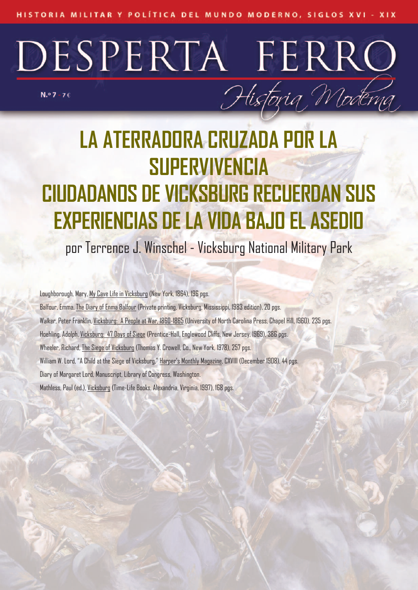## DESPERTA FERRO Historia Moderna  $N.°7 - 76$

## **LA ATERRADORA CRUZADA POR LA SUPERVIVENCIA CIUDADANOS DE VICKSBURG RECUERDAN SUS EXPERIENCIAS DELA VIDA BAJO EL ASEDIO**

### por Terrence J. Winschel - Vicksburg National Military Park

Loughborough, Mary, My Cave Life in Vicksburg (New York, 1864), 196 pgs. Balfour, Emma, The Diary of Enma Balfour (Private printing, Vicksburg, Mississippi, 1983 edition), 20 pgs. Walker, Peter Franklin, Vicksburg: A People at War, 1860-1865 (University of North Carolina Press, Chapel Hill, 1960), 235 pgs. Hoehling, Adolph, Vicksburg: 47 Days of Siege (Prentice-Hall, Englewood Cliffs, New Jersey, 1969), 386 pgs. Wheeler, Richard, The Siege of Vicksburg (Thomas Y. Crowell, Co., New York, 1978), 257 pgs. William W. Lord, "A Child at the Siege of Vicksburg," Harper's Monthly Magazine, CXVIII (December 1908), 44 pgs. Diary of Margaret Lord, Manuscript, Library of Congress, Washington. Mathless, Paul (ed.), Vicksburg (Time-Life Books, Alexandria, Virginia, 1997), 168 pgs.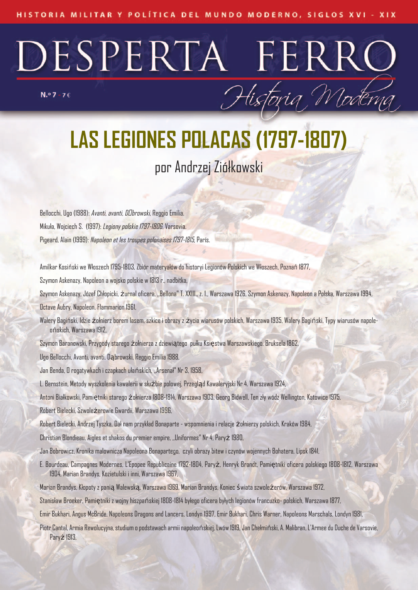$N.°7 - 76$ 

**LAS LEGIONES POLACAS (1797-1807)** por Andrzej Ziółkowski

Historia Moderna

Bellocchi, Ugo (1988): Avanti, avanti, D browski, Reggio Emilia. Mikuła, Wojciech S. (1997): Legiony polskie 1797-1806, Varsovia. Pigeard, Alain (1999): Napoleon et les troupes polonaises 1797-1815, París.

Amilkar Kosiński we Włoszech 1795-1803, Zbiór materyałów do historyi Legionów Polskich we Włoszech, Poznań 1877,

Szymon Askenazy, Napoleon a wojsko polskie w 1813 r., nadbitka,

Szymon Askenazy, Józef Chłopicki, żurnal oficera, ,,Bellona" T. XXIII., z. 1., Warszawa 1926, Szymon Askenazy, Napoleon a Polska, Warszawa 1994, Octave Aubry, Napoleon, Flammarion 1961,

Walery Bagiński, Idzie żołnierz borem lasem, szkice i obrazy z życia wiarusów polskich, Warszawa 1935, Walery Bagiński, Typy wiarusów napoleońskich, Warszawa 1912,

Szymon Baranowski, Przygody starego żołnierza z dziewiątego pułku Księstwa Warszawskiego, Bruksela 1862,

Ugo Bellocchi, Avanti, avanti, Dabrowski, Reggio Emilia 1988

Jan Benda, O rogatywkach i czapkach ułańskich, ,,Arsenał" Nr 3, 1958,

L. Bernstein, Metody wyszkolenia kawalerii w służbie polowej, Przegląd Kawaleryjski Nr 4. Warszawa 1924,

Antoni Białkowski, Pamiętniki starego żołnierza 1808-1814, Warszawa 1903, Georg Bidwell, Ten zły wódz Wellington, Katowice 1975,

Robert Bielecki, Szwoleżerowie Gwardii, Warszawa 1996,

Robert Bielecki, Andrzej Tyszka, Dał nam przykład Bonaparte - wspomnienia i relacje żołnierzy polskich, Kraków 1984,

Christian Blondieau, Aigles et shakos du premier empire, ,,Uniformes" Nr 4, Paryż 1980,

Jan Bobrowicz, Kronika malownicza Napoleona Bonapartego, czyli obrazy bitew i czynów wojennych Bohatera, Lipsk 1841,

E. Bourdeau, Campagnes Modernes, L'Epopee Republicaine 1792-1804, Paryż, Henryk Brandt, Pamiętniki oficera polskiego 1808-1812, Warszawa 1904, Marian Brandys, Kozietulski i inni, Warszawa 1967,

Marian Brandys, Kłopoty z panią Walewską, Warszawa 1969, Marian Brandys, Koniec świata szwoleżerów, Warszawa 1972,

Stanisław Broeker, Pamiętniki z wojny hiszpańskiej 1808-1814 byłego oficera byłych legionów francuzko- polskich, Warszawa 1877,

Emir Bukhari, Angus McBride, Napoleons Dragons and Lancers, Londyn 1997, Emir Bukhari, Chris Warner, Napoleons Marschals, Londyn 1981,

Piotr Cantal, Armia Rewolucyjna, studium o podstawach armii napoleońskiej, Lwów 1919, Jan Chełmiński, A. Malibran, L'Armee du Duche de Varsovie, Paryż 1913,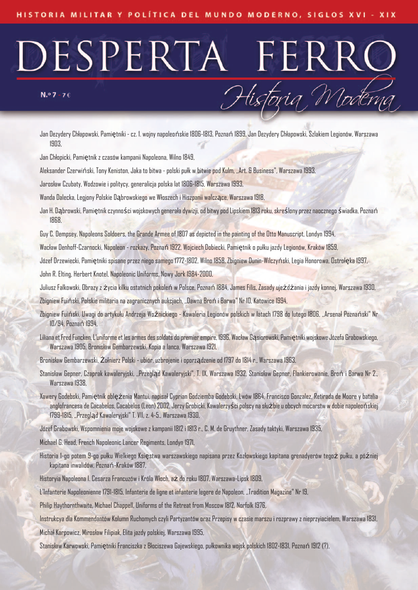#### $N.°7 - 76$

Jan Dezydery Chłapowski, Pamiętniki - cz. 1. wojny napoleońskie 1806-1813, Poznań 1899, Jan Dezydery Chłapowski, Szlakiem Legionów, Warszawa 1903,

Historia Moderna

Jan Chłopicki, Pamiętnik z czasów kampanii Napoleona, Wilno 1849,

Aleksander Czerwiński, Tony Keniston, Jaka to bitwa - polski pułk w bitwie pod Kulm, ,,Art. & Business", Warszawa 1993,

Jarosław Czubaty, Wodzowie i politycy, generalicja polska lat 1806-1815, Warszawa 1993,

Wanda Dalecka, Legjony Polskie Dąbrowskiego we Włoszech i Hiszpanii walczące, Warszawa 1918,

Jan H. Dąbrowski, Pamiętnik czynności wojskowych generała dywizji, od bitwy pod Lipskiem 1813 roku, skreślony przez naocznego świadka, Poznań 1868,

Guy C. Dempsey, Napoleons Soldoers, the Grande Armee of 1807 as depicted in the painting of the Otto Manuscript, Londyn 1994,

Wacław Denhoff-Czarnocki, Napoleon - rozkazy, Poznań 1922, Wojciech Dobiecki, Pamiętnik o pułku jazdy Legionów, Kraków 1859,

Józef Drzewiecki, Pamiętniki spisane przez niego samego 1772-1802, Wilno 1858, Zbigniew Dunin-Wilczyński, Legia Honorowa, Ostrołęka 1997,

John R. Elting, Herbert Knotel, Napoleonic Uniforms, Nowy Jork 1984-2000,

Juliusz Falkowski, Obrazy z życia kilku ostatnich pokoleń w Polsce, Poznań 1884, James Filis, Zasady ujeżdżania i jazdy konnej, Warszawa 1930,

Zbigniew Fuiński, Polskie militaria na zagranicznych aukcjach, ,,Dawna Broń i Barwa" Nr 10, Katowice 1994,

- Zbigniew Fuiński, Uwagi do artykułu Andrzeja Woźnickiego Kawaleria Legionów polskich w latach 1798 do lutego 1806, ,,Arsenał Poznański" Nr 10/94, Poznań 1994,
- Liliana et Fred Funcken, L'uniforme et les armes des soldats do premier empire, 1996, Wacław Gasiorowski, Pamiętniki wojskowe Józefa Grabowskiego, Warszawa 1905, Bronisław Gembarzewski, Kopia a lanca, Warszawa 1921,
- Bronisław Gembarzewski, Żołnierz Polski ubiór, uzbrojenie i oporządzenie od 1797 do 1814 r., Warszawa 1963,
- Stanisław Gepner, Czaprak kawaleryjski, ,,Przegląd Kawaleryjski", T. IX, Warszawa 1932, Stanisław Gepner, Flankierowanie, Broń i Barwa Nr 2., Warszawa 1938,
- Xawery Godebski, Pamiętnik oblężenia Mantui, napisał Cyprian Godziemba Godebski, Lwów 1864, Francisco Gonzalez, Retirada de Moore y batalia anglofrancesa de Cacabelos, Cacabelos (Leon) 2002, Jerzy Grobicki, Kawalerzyści polscy na służbie u obcych mocarstw w dobie napoleońskiej 1799-1815, ,,Przegląd Kawaleryjski" T. VII, z. 4-5., Warszawa 1930,

Józef Grabowski, Wspomnienia moje wojskowe z kampanii 1812 i 1813 r., C. M. de Gruythner, Zasady taktyki, Warszawa 1935,

Michael G. Head, French Napoleonic Lancer Regiments, Londyn 1971,

Historia 1-go potem 9-go pułku Wielkiego Księstwa warszawskiego napisana przez Kozłowskiego kapitana grenadyerów tegoż pułku, a później kapitana inwalidów, Poznań-Kraków 1887,

Historyia Napoleona I. Cesarza Francuzów i Króla Włoch, aż do roku 1807, Warszawa-Lipsk 1809,

L'Infanterie Napoleonienne 1791-1815, Infanterie de ligne et infanterie legere de Napoleon, ,,Tradition Magazine" Nr 19,

Philip Haythornthwaite, Michael Chappell, Uniforms of the Retreat from Moscow 1812, Norfolk 1976,

Instrukcya dla Kommendantów Kolumn Ruchomych czyli Partyzantów oraz Przepisy w czasie marszu i rozprawy z nieprzyiacielem, Warszawa 1831,

Michał Karpowicz, Mirosław Filipiak, Elita jazdy polskiej, Warszawa 1995,

Stanisław Karwowski, Pamiętniki Franciszka z Błociszewa Gajewskiego, pułkownika wojsk polskich 1802-1831, Poznań 1912 (?),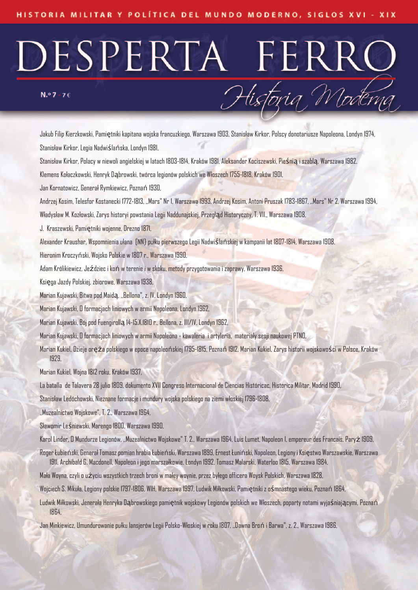#### $N.°7 - 76$

Jakub Filip Kierzkowski, Pamiętniki kapitana wojska francuzkiego, Warszawa 1903, Stanisław Kirkor, Polscy donotariusze Napoleona, Londyn 1974, Stanisław Kirkor, Legia Nadwiślańska, Londyn 1981,

Historia Moderna

Stanisław Kirkor, Polacy w niewoli angielskiej w latach 1803-1814, Kraków 1981, Aleksander Kociszewski, Pieśnią i szablą, Warszawa 1982,

Klemens Kołaczkowski, Henryk Dąbrowski, twórca legionów polskich we Włoszech 1755-1818, Kraków 1901,

Jan Kornatowicz, Generał Rymkiewicz, Poznań 1930,

Andrzej Kosim, Telesfor Kostanecki 1772-1813, ,,Mars" Nr 1, Warszawa 1993, Andrzej Kosim, Antoni Pruszak 1783-1867, ,,Mars" Nr 2, Warszawa 1994,

Władysław M. Kozłowski, Zarys historyi powstania Legii Naddunajskiej, Przegląd Historyczny, T. VII., Warszawa 1908,

J. Kraszewski, Pamiętniki wojenne, Drezno 1871,

Alexander Kraushar, Wspomnienia ułana [NN} pułku pierwszego Legii Nadwiślańskiej w kampanii lat 1807-1814, Warszawa 1908,

Hieronim Kroczyński, Wojsko Polskie w 1807 r., Warszawa 1990,

Adam Królikiewicz, Jeździec i koń w terenie i w skoku, metody przygotowania i zaprawy, Warszawa 1936,

Księga Jazdy Polskiej, zbiorowe, Warszawa 1938,

Marian Kujawski, Bitwa pod Maidą, ,,Bellona", z. IV, Londyn 1960,

Marian Kujawski, O formacjach liniowych w armii Napoleona, Londyn 1962,

Marian Kujawski, Bój pod Fuengirollą 14-15.X.1810 r., Bellona, z. III/IV, Londyn 1962,

Marian Kujawski, O formacjach liniowych w armii Napoleona - kawaleria i artyleria, materiały sesji naukowej PTNO,

Marian Kukiel, Dzieje oręża polskiego w epoce napoleońskiej 1795-1815, Poznań 1912, Marian Kukiel, Zarys historii wojskowości w Polsce, Kraków 1929,

Marian Kukiel, Wojna 1812 roku, Kraków 1937,

La batalla de Talavera 28 julio 1809, dokumento XVII Congreso Internacional de Ciencias Históricac, Historica Militar, Madrid 1990,

Stanisław Ledóchowski, Nieznane formacje i mundury wojska polskiego na ziemi włoskiej 1796-1808,

,,Muzealnictwo Wojskowe", T. 2., Warszawa 1964,

Sławomir Leśniewski, Marengo 1800, Warszawa 1990,

Karol Linder, O Mundurze Legionów, ,,Muzealnictwo Wojskowe" T. 2., Warszawa 1964, Luis Lumet, Napoleon I, empereur des Francais, Paryż 1909,

Roger Łubieński, Generał Tomasz pomian hrabia Łubieński, Warszawa 1899, Ernest Łuniński, Napoleon, Legiony i Księstwo Warszawskie, Warszawa 1911, Archibald G. Macdonell, Napoleon i jego marszałkowie, Londyn 1992, Tomasz Malarski, Waterloo 1815, Warszawa 1984,

Mała Woyna, czyli o użyciu wszystkich trzech broni w małey woynie, przez byłego officera Woysk Polskich, Warszawa 1828,

Wojciech S. Mikuła, Legiony polskie 1797-1806, WIH, Warszawa 1997, Ludwik Miłkowski, Pamiętniki z ośmnastego wieku, Poznań 1864,

Ludwik Miłkowski, Jenerała Henryka Dabrowskiego pamiętnik wojskowy Legionów polskich we Włoszech, poparty notami wyjaśniającymi. Poznań 1864,

Jan Minkiewicz, Umundurowanie pułku lansjerów Legii Polsko-Włoskiej w roku 1807, ,,Dawna Broń i Barwa", z. 2., Warszawa 1986,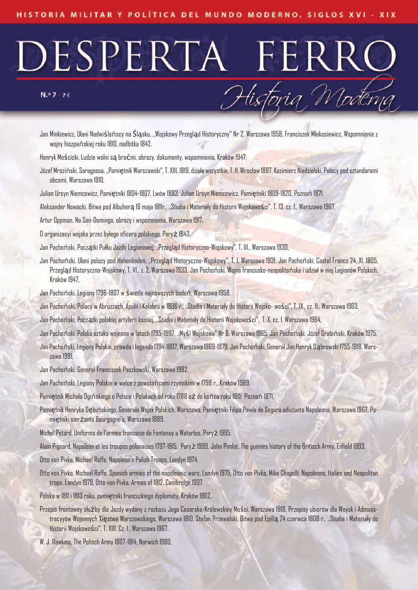#### $N.°7 - 76$

Jan Minkiewicz, Ułani Nadwiślańscy na Śląsku, ,,Wojskowy Przegląd Historyczny" Nr 2, Warszawa 1958, Franciszek Młokosiewicz, Wspomnienie z wojny hiszpańskiej roku 1810, nadbitka 1842,

Historia Moderna

- Henryk Mościcki, Ludzie wolni są braćmi, obrazy, dokumenty, wspomnienia, Kraków 1947,
- Józef Mroziński, Saragossa, "Pamiętnik Warszawski", T. XIII, 1819, dzieła wszystkie, T. II, Wrocław 1887, Kazimierz Niedzielski, Polacy pod sztandarami obcemi, Warszawa 1910,
- Julian Ursyn Niemcewicz, Pamiętniki 1804-1807, Lwów 1883, Julian Ursyn Niemcewicz, Pamiętniki 1809-1820, Poznań 1871,
- Aleksander Nowacki, Bitwa pod Albuherą 16 maja 1811r., ,,Studia i Materiały do Historii Wojskowości", T. 13. cz. 1., Warszawa 1967,
- Artur Oppman, Na San-Domingo, obrazy i wspomnienia, Warszawa 1917,
- O organizacyi wojska przez byłego oficera polskiego, Paryż 1843,
- Jan Pachoński, Początki Pułku Jazdy Legionowej, ,,Przegląd Historyczno-Wojskowy", T. III., Warszawa 1930,
- Jan Pachoński, Ułani polscy pod Hohenlinden, ,,Przegląd Historyczno-Wojskowy", T. 1, Warszawa 1931, Jan Pachoński, Castel Franco 24. XI. 1805, Przegląd Historyczno-Wojskowy, T. VI., z. 2, Warszawa 1933, Jan Pachoński, Wojna francusko-neapolitańska i udział w niej Legionów Polskich, Kraków 1947,
- Jan Pachoński, Legiony 1796-1807 w świetle najnowszych badań, Warszawa 1958,
- Jan Pachoński, Polacy w Abruzzach, Apulii i Kalabrii w 1806 r., ,,Studia i Materiały do Historii Wojsko- wości", T. IX., cz. II., Warszawa 1963,
- Jan Pachoński, Początki polskiej artylerii konnej, ,,Studia i Materiały do Historii Wojskowości", T. X, cz. I, Warszawa 1964,
- Jan Pachoński, Polska sztuka wojenna w latach 1795-1807, "Myśl Wojskowa" Nr 8, Warszawa 1965, Jan Pachoński, Józef Grabiński, Kraków 1975,
- Jan Pachoński, Legiony Polskie, prawda i legenda 1794-1807, Warszawa 1969-1979, Jan Pachoński, Generał Jan Henryk Dąbrowski 1755-1818, Warszawa 1981,
- Jan Pachoński, Generał Franciszek Paszkowski, Warszawa 1982,
- Jan Pachoński, Legiony Polskie w walce z powstańcami rzymskimi w 1798 r., Kraków 1989,
- Pamiętnik Michała Ogińskiego o Polsce i Polakach od roku 1788 aż do końca roku 1815, Poznań 1871,
- Pamiętnik Henryka Dębińskiego, Generała Wojsk Polskich, Warszawa, Pamiętniki Filipa Pawła de Segura adiutanta Napoleona, Warszawa 1967, Pamiętniki sierżanta Bourgogne'a, Warszawa 1889,
- Michel Petard, Uniforms de l'armee francaise do Fontenoy a Waterloo, Paryż 1995,
- Alain Pigeard, Napoleon et les troupes polonaises 1797-1815, Paryż 1999, John Pimlot, The guinnes history of the Britisch Army, Enfield 1993,
- Otto von Pivka, Michael Roffe, Napoleon's Polish Troops, Londyn 1974,
- Otto von Pivka, Michael Roffe, Spanish armies of the napoleonic wars, Londyn 1975, Otto von Pivka, Mike Chapelli, Napoleons, Italien and Neapolitan trops, Londyn 1979, Otto von Pivka, Armes of 1812, Cambridge 1997,
- Polska w 1811 i 1813 roku, pamiętniki francuzkiego dyplomaty, Kraków 1862,
- Przepis frontowey służby dla Jazdy wydany z rozkazu Jego Cesarsko-Królewskiey Mości, Warszawa 1818, Przepisy ubiorów dla Woysk i Administracyyów Wojennych Xięstwa Warszawskiego, Warszawa 1810, Stefan Przewalski, Bitwa pod Epillą 24 czerwca 1808 r., ,,Studia i Materiały do Historii Wojskowości", T. XIII. Cz. 1., Warszawa 1967,
- W. J. Rawkins, The Polisch Army 1807-1814, Norwich 1980,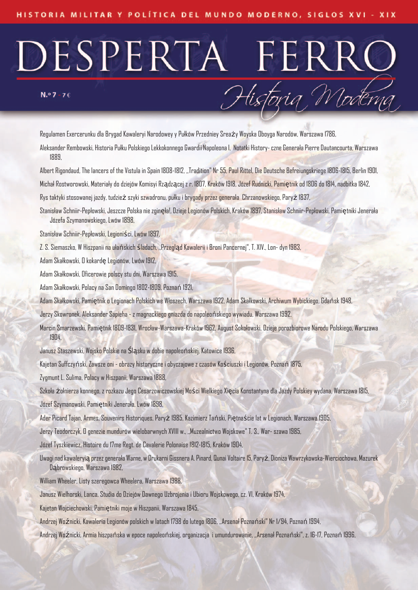#### $N.°7 - 76$

Regulamen Exercerunku dla Brygad Kawaleryi Narodowey y Pułków Przedniey Sreaży Woyska Oboyga Narodów, Warszawa 1786, Aleksander Rembowski, Historia Pułku Polskiego Lekkokonnego Gwardii Napoleona I, Notatki History-czne Generała Pierre Dautancourta, Warszawa 1889,

Historia Moderna

Albert Rigondaud, The lancers of the Vistula in Spain 1808-1812, "Tradition" Nr 55, Paul Rittel, Die Deutsche Befreiungskriege 1806-1815, Berlin 1901, Michał Rostworowski, Materiały do dziejów Komisyi Rządzącej z r. 1807, Kraków 1918, Józef Rudnicki, Pamiętnik od 1806 do 1814, nadbitka 1842,

Rys taktyki stosowanej jazdy, tudzież szyki szwadronu, pułku i brygady przez generała Chrzanowskiego, Paryż 1837,

Stanisław Schniir-Pepłowski, Jeszcze Polska nie zginęła!, Dzieje Legionów Polskich, Kraków 1897, Stanisław Schniir-Pepłowski, Pamiętniki Jenerała Józefa Szymanowskiego, Lwów 1898,

Stanisław Schniir-Pepłowski, Legioniści, Lwów 1897,

Z. S. Siemaszko, W Hiszpanii na ułańskich śladach, ,,Przegląd Kawalerii i Broni Pancernej", T. XIV., Lon- dyn 1983,

Adam Skałkowski, O kokardę Legionów, Lwów 1912,

Adam Skałkowski, Oficerowie polscy stu dni, Warszawa 1915,

Adam Skałkowski, Polacy na San Domingo 1802-1809, Poznań 1921,

Adam Skałkowski, Pamiętnik o Legionach Polskich we Włoszech, Warszawa 1922, Adam Skałkowski, Archiwum Wybickiego, Gdańsk 1948,

Jerzy Skowronek, Aleksander Sapieha - z magnackiego gniazda do napoleońskiego wywiadu, Warszawa 1992,

Marcin Smarzewski, Pamiętnik 1809-1831, Wrocław-Warszawa-Kraków 1962, August Sokołowski, Dzieje porozbiorowe Narodu Polskiego, Warszawa 1904,

Janusz Staszewski, Wojsko Polskie na Śląsku w dobie napoleońskiej, Katowice 1936,

Kajetan Suffczyński, Zawsze oni - obrazy historyczne i obyczajowe z czasów Kościuszki i Legionów, Poznań 1875,

Zygmunt L. Sulima, Polacy w Hiszpanii, Warszawa 1888,

Szkoła żołnierza konnego, z rozkazu Jego Cesarzowiczowskiej Mości Wielkiego Xięcia Konstantyna dla Jazdy Polskiey wydana, Warszawa 1815,

Józef Szymanowski, Pamiętniki Jenerała, Lwów 1898,

Ader Picard Tajan, Armes, Souvenirs Historiques, Paryż 1985, Kazimierz Tański, Piętnaście lat w Legionach, Warszawa 1905,

Jerzy Teodorczyk, O genezie mundurów wielobarwnych XVIII w., ,,Muzealnictwo Wojskowe" T. 3., War- szawa 1985,

Józef Tyszkiewicz, Histoire du 17me Regt. de Cavalerie Polonaise 1812-1815, Kraków 1904,

Uwaginadkawaleryią przezgenerała Warne, w Drukarni Gissnera A. Pinard, QunaiVoltaire15, Paryż, Dioniza Wawrzykowska-Wierciochowa, Mazurek Dąbrowskiego, Warszawa 1982,

William Wheeler, Listy szeregowca Wheelera, Warszawa 1988,

Janusz Wielhorski, Lanca, Studia do Dziejów Dawnego Uzbrojenia i Ubioru Wojskowego, cz. VI, Kraków 1974,

Kajetan Wojciechowski, Pamiętniki moje w Hiszpanii, Warszawa 1845,

Andrzej Woźnicki, Kawaleria Legionów polskich w latach 1798 do lutego 1806, ,,Arsenał Poznański" Nr 1/94, Poznań 1994,

Andrzej Woźnicki, Armia hiszpańska w epoce napoleońskiej, organizacja i umundurowanie, ,,Arsenał Poznański", z. 16-17, Poznań 1996,